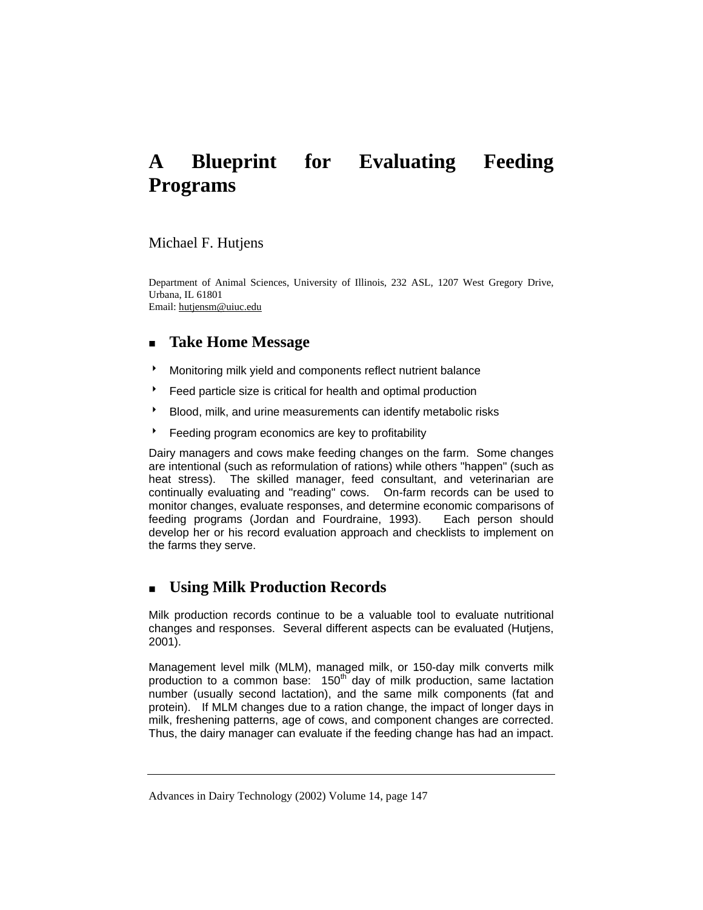# **A Blueprint for Evaluating Feeding Programs**

### Michael F. Hutjens

Department of Animal Sciences, University of Illinois, 232 ASL, 1207 West Gregory Drive, Urbana, IL 61801 Email: hutjensm@uiuc.edu

# **Take Home Message**

- **Monitoring milk yield and components reflect nutrient balance**
- **Feed particle size is critical for health and optimal production**
- Blood, milk, and urine measurements can identify metabolic risks
- **BEED FEEDING PROGRAM ECONOMICS ARE KEY TO PROFITABILITY**

Dairy managers and cows make feeding changes on the farm. Some changes are intentional (such as reformulation of rations) while others "happen" (such as heat stress). The skilled manager, feed consultant, and veterinarian are continually evaluating and "reading" cows. On-farm records can be used to monitor changes, evaluate responses, and determine economic comparisons of feeding programs (Jordan and Fourdraine, 1993). Each person should develop her or his record evaluation approach and checklists to implement on the farms they serve.

# **Using Milk Production Records**

Milk production records continue to be a valuable tool to evaluate nutritional changes and responses. Several different aspects can be evaluated (Hutjens, 2001).

Management level milk (MLM), managed milk, or 150-day milk converts milk production to a common base:  $150<sup>th</sup>$  day of milk production, same lactation number (usually second lactation), and the same milk components (fat and protein). If MLM changes due to a ration change, the impact of longer days in milk, freshening patterns, age of cows, and component changes are corrected. Thus, the dairy manager can evaluate if the feeding change has had an impact.

Advances in Dairy Technology (2002) Volume 14, page 147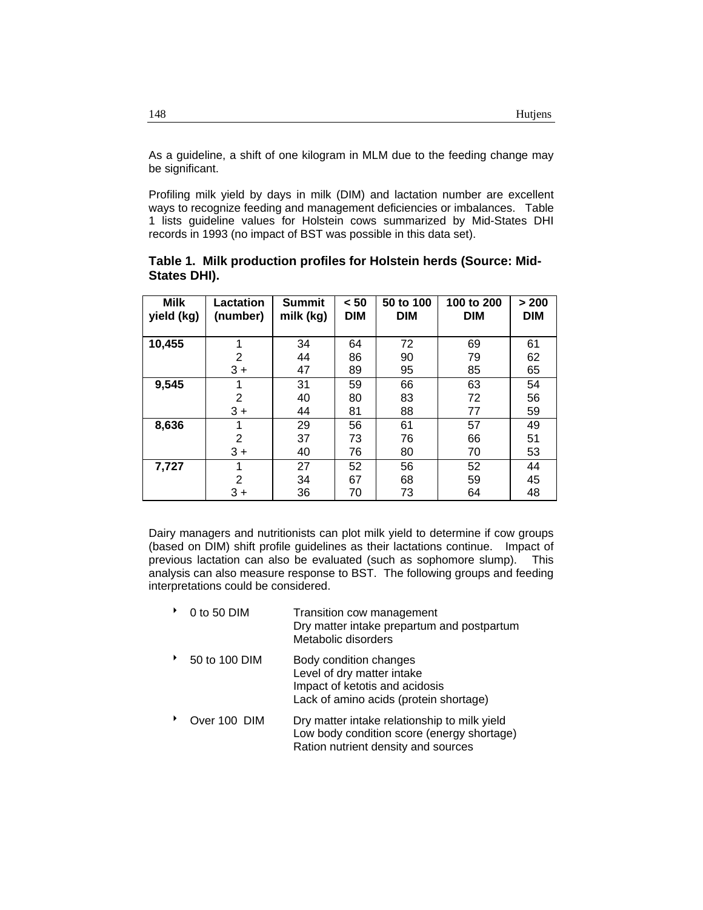As a guideline, a shift of one kilogram in MLM due to the feeding change may be significant.

Profiling milk yield by days in milk (DIM) and lactation number are excellent ways to recognize feeding and management deficiencies or imbalances. Table 1 lists guideline values for Holstein cows summarized by Mid-States DHI records in 1993 (no impact of BST was possible in this data set).

| <b>Milk</b><br>yield (kg) | Lactation<br>(number) | <b>Summit</b><br>milk (kg) | < 50<br><b>DIM</b> | 50 to 100<br><b>DIM</b> | 100 to 200<br><b>DIM</b> | > 200<br><b>DIM</b> |
|---------------------------|-----------------------|----------------------------|--------------------|-------------------------|--------------------------|---------------------|
| 10,455                    | 1                     | 34                         | 64                 | 72                      | 69                       | 61                  |
|                           | $\overline{2}$        | 44                         | 86                 | 90                      | 79                       | 62                  |
|                           | $3+$                  | 47                         | 89                 | 95                      | 85                       | 65                  |
| 9,545                     | 1                     | 31                         | 59                 | 66                      | 63                       | 54                  |
|                           | 2                     | 40                         | 80                 | 83                      | 72                       | 56                  |
|                           | $3+$                  | 44                         | 81                 | 88                      | 77                       | 59                  |
| 8,636                     | 1                     | 29                         | 56                 | 61                      | 57                       | 49                  |
|                           | $\overline{2}$        | 37                         | 73                 | 76                      | 66                       | 51                  |
|                           | $3+$                  | 40                         | 76                 | 80                      | 70                       | 53                  |
| 7,727                     | 1                     | 27                         | 52                 | 56                      | 52                       | 44                  |
|                           | 2                     | 34                         | 67                 | 68                      | 59                       | 45                  |
|                           | $3+$                  | 36                         | 70                 | 73                      | 64                       | 48                  |

**Table 1. Milk production profiles for Holstein herds (Source: Mid-States DHI).** 

Dairy managers and nutritionists can plot milk yield to determine if cow groups (based on DIM) shift profile guidelines as their lactations continue. Impact of previous lactation can also be evaluated (such as sophomore slump). This analysis can also measure response to BST. The following groups and feeding interpretations could be considered.

| 0 to 50 DIM                  | Transition cow management<br>Dry matter intake prepartum and postpartum<br>Metabolic disorders                                   |
|------------------------------|----------------------------------------------------------------------------------------------------------------------------------|
| 50 to 100 DIM                | Body condition changes<br>Level of dry matter intake<br>Impact of ketotis and acidosis<br>Lack of amino acids (protein shortage) |
| $\bigcap_{M \cap T} 100$ DIM | Dry motter into a relationship to milk viold                                                                                     |

Over 100 DIM Dry matter intake relationship to milk yield Low body condition score (energy shortage) Ration nutrient density and sources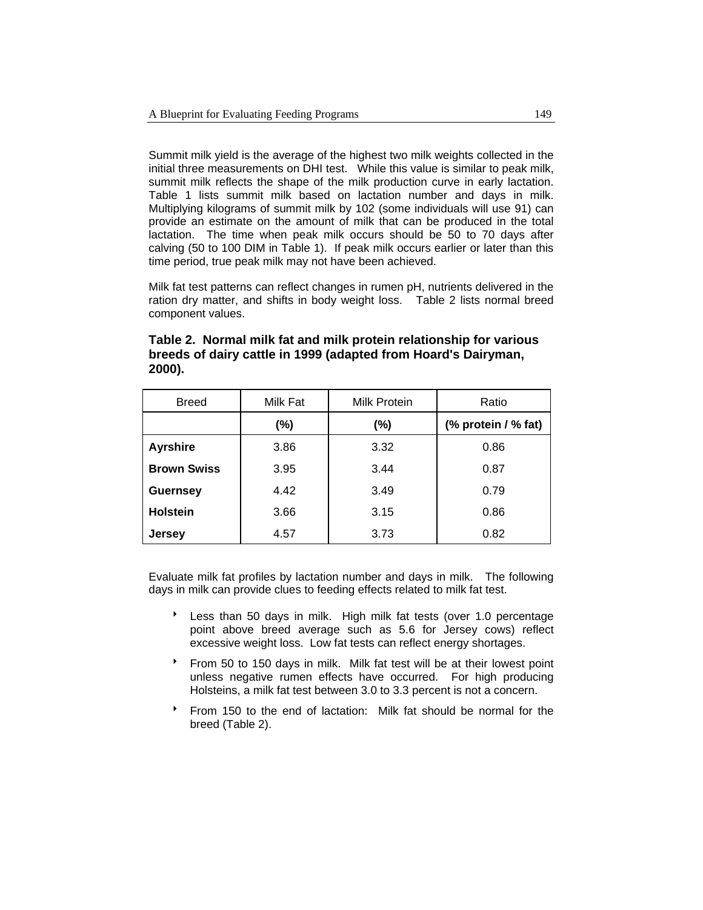Summit milk yield is the average of the highest two milk weights collected in the initial three measurements on DHI test. While this value is similar to peak milk, summit milk reflects the shape of the milk production curve in early lactation. Table 1 lists summit milk based on lactation number and days in milk. Multiplying kilograms of summit milk by 102 (some individuals will use 91) can provide an estimate on the amount of milk that can be produced in the total lactation. The time when peak milk occurs should be 50 to 70 days after calving (50 to 100 DIM in Table 1). If peak milk occurs earlier or later than this time period, true peak milk may not have been achieved.

Milk fat test patterns can reflect changes in rumen pH, nutrients delivered in the ration dry matter, and shifts in body weight loss. Table 2 lists normal breed component values.

| <b>Breed</b>       | Milk Fat | Milk Protein | Ratio               |  |
|--------------------|----------|--------------|---------------------|--|
|                    | (%)      | (%)          | (% protein / % fat) |  |
| <b>Ayrshire</b>    | 3.86     | 3.32         | 0.86                |  |
| <b>Brown Swiss</b> | 3.95     | 3.44         | 0.87                |  |
| <b>Guernsey</b>    | 4.42     | 3.49         | 0.79                |  |
| <b>Holstein</b>    | 3.66     | 3.15         | 0.86                |  |
| <b>Jersey</b>      | 4.57     | 3.73         | 0.82                |  |

**Table 2. Normal milk fat and milk protein relationship for various breeds of dairy cattle in 1999 (adapted from Hoard's Dairyman, 2000).** 

Evaluate milk fat profiles by lactation number and days in milk. The following days in milk can provide clues to feeding effects related to milk fat test.

- <sup>t</sup> Less than 50 days in milk. High milk fat tests (over 1.0 percentage point above breed average such as 5.6 for Jersey cows) reflect excessive weight loss. Low fat tests can reflect energy shortages.
- From 50 to 150 days in milk. Milk fat test will be at their lowest point unless negative rumen effects have occurred. For high producing Holsteins, a milk fat test between 3.0 to 3.3 percent is not a concern.
- **From 150 to the end of lactation:** Milk fat should be normal for the breed (Table 2).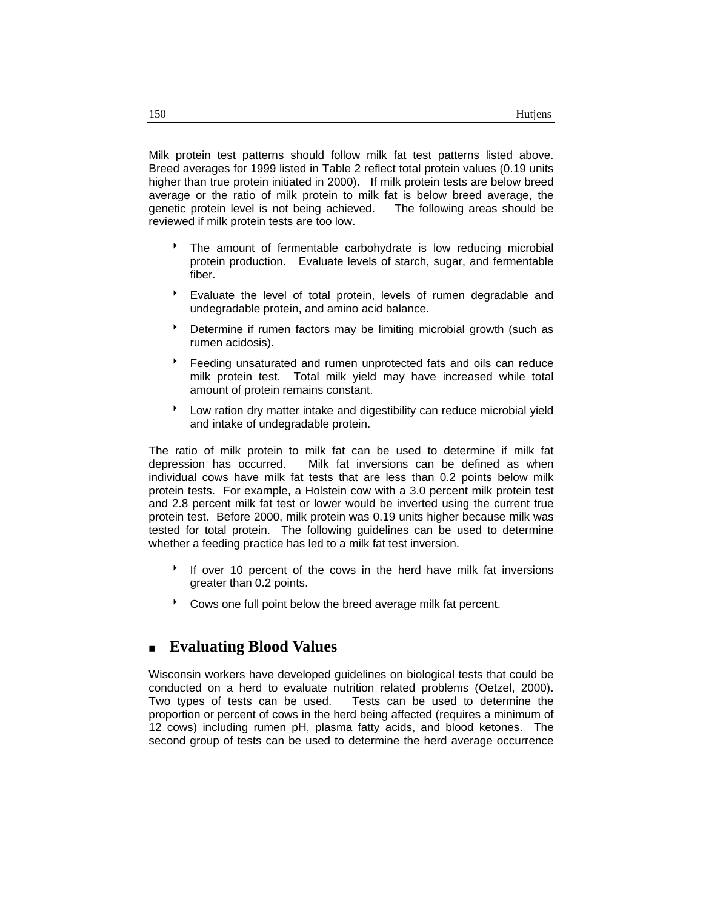Milk protein test patterns should follow milk fat test patterns listed above. Breed averages for 1999 listed in Table 2 reflect total protein values (0.19 units higher than true protein initiated in 2000). If milk protein tests are below breed average or the ratio of milk protein to milk fat is below breed average, the genetic protein level is not being achieved. The following areas should be reviewed if milk protein tests are too low.

- The amount of fermentable carbohydrate is low reducing microbial protein production. Evaluate levels of starch, sugar, and fermentable fiber.
- \* Evaluate the level of total protein, levels of rumen degradable and undegradable protein, and amino acid balance.
- Betermine if rumen factors may be limiting microbial growth (such as rumen acidosis).
- 8 Feeding unsaturated and rumen unprotected fats and oils can reduce milk protein test. Total milk yield may have increased while total amount of protein remains constant.
- <sup>8</sup> Low ration dry matter intake and digestibility can reduce microbial yield and intake of undegradable protein.

The ratio of milk protein to milk fat can be used to determine if milk fat depression has occurred. Milk fat inversions can be defined as when individual cows have milk fat tests that are less than 0.2 points below milk protein tests. For example, a Holstein cow with a 3.0 percent milk protein test and 2.8 percent milk fat test or lower would be inverted using the current true protein test. Before 2000, milk protein was 0.19 units higher because milk was tested for total protein. The following guidelines can be used to determine whether a feeding practice has led to a milk fat test inversion.

- <sup>t</sup> If over 10 percent of the cows in the herd have milk fat inversions greater than 0.2 points.
- Cows one full point below the breed average milk fat percent.

# **Evaluating Blood Values**

Wisconsin workers have developed guidelines on biological tests that could be conducted on a herd to evaluate nutrition related problems (Oetzel, 2000). Two types of tests can be used. Tests can be used to determine the proportion or percent of cows in the herd being affected (requires a minimum of 12 cows) including rumen pH, plasma fatty acids, and blood ketones. The second group of tests can be used to determine the herd average occurrence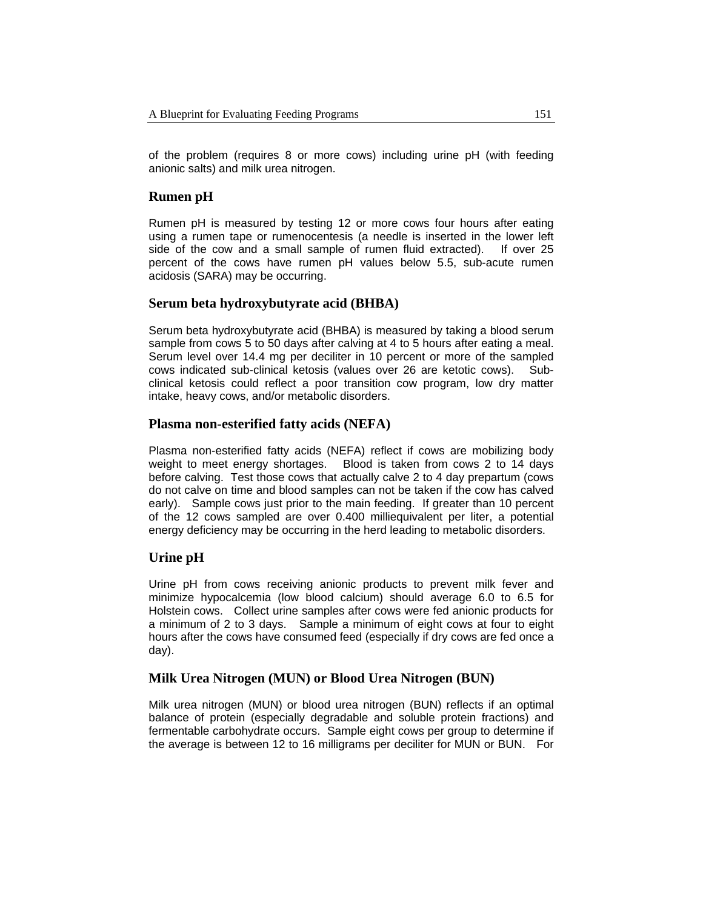of the problem (requires 8 or more cows) including urine pH (with feeding anionic salts) and milk urea nitrogen.

### **Rumen pH**

Rumen pH is measured by testing 12 or more cows four hours after eating using a rumen tape or rumenocentesis (a needle is inserted in the lower left side of the cow and a small sample of rumen fluid extracted). If over 25 percent of the cows have rumen pH values below 5.5, sub-acute rumen acidosis (SARA) may be occurring.

### **Serum beta hydroxybutyrate acid (BHBA)**

Serum beta hydroxybutyrate acid (BHBA) is measured by taking a blood serum sample from cows 5 to 50 days after calving at 4 to 5 hours after eating a meal. Serum level over 14.4 mg per deciliter in 10 percent or more of the sampled cows indicated sub-clinical ketosis (values over 26 are ketotic cows). Subclinical ketosis could reflect a poor transition cow program, low dry matter intake, heavy cows, and/or metabolic disorders.

#### **Plasma non-esterified fatty acids (NEFA)**

Plasma non-esterified fatty acids (NEFA) reflect if cows are mobilizing body weight to meet energy shortages. Blood is taken from cows 2 to 14 days before calving. Test those cows that actually calve 2 to 4 day prepartum (cows do not calve on time and blood samples can not be taken if the cow has calved early). Sample cows just prior to the main feeding. If greater than 10 percent of the 12 cows sampled are over 0.400 milliequivalent per liter, a potential energy deficiency may be occurring in the herd leading to metabolic disorders.

#### **Urine pH**

Urine pH from cows receiving anionic products to prevent milk fever and minimize hypocalcemia (low blood calcium) should average 6.0 to 6.5 for Holstein cows. Collect urine samples after cows were fed anionic products for a minimum of 2 to 3 days. Sample a minimum of eight cows at four to eight hours after the cows have consumed feed (especially if dry cows are fed once a day).

#### **Milk Urea Nitrogen (MUN) or Blood Urea Nitrogen (BUN)**

Milk urea nitrogen (MUN) or blood urea nitrogen (BUN) reflects if an optimal balance of protein (especially degradable and soluble protein fractions) and fermentable carbohydrate occurs. Sample eight cows per group to determine if the average is between 12 to 16 milligrams per deciliter for MUN or BUN. For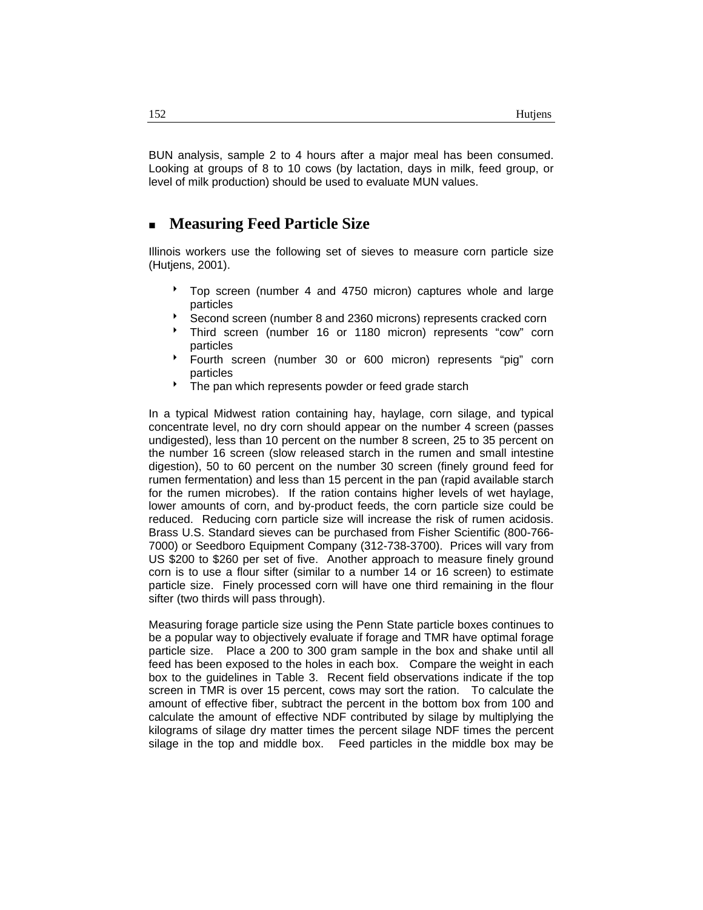BUN analysis, sample 2 to 4 hours after a major meal has been consumed. Looking at groups of 8 to 10 cows (by lactation, days in milk, feed group, or level of milk production) should be used to evaluate MUN values.

## **Measuring Feed Particle Size**

Illinois workers use the following set of sieves to measure corn particle size (Hutjens, 2001).

- Top screen (number 4 and 4750 micron) captures whole and large particles
- Second screen (number 8 and 2360 microns) represents cracked corn
- Third screen (number 16 or 1180 micron) represents "cow" corn particles
- Fourth screen (number 30 or 600 micron) represents "pig" corn particles
- The pan which represents powder or feed grade starch

In a typical Midwest ration containing hay, haylage, corn silage, and typical concentrate level, no dry corn should appear on the number 4 screen (passes undigested), less than 10 percent on the number 8 screen, 25 to 35 percent on the number 16 screen (slow released starch in the rumen and small intestine digestion), 50 to 60 percent on the number 30 screen (finely ground feed for rumen fermentation) and less than 15 percent in the pan (rapid available starch for the rumen microbes). If the ration contains higher levels of wet haylage, lower amounts of corn, and by-product feeds, the corn particle size could be reduced. Reducing corn particle size will increase the risk of rumen acidosis. Brass U.S. Standard sieves can be purchased from Fisher Scientific (800-766- 7000) or Seedboro Equipment Company (312-738-3700). Prices will vary from US \$200 to \$260 per set of five. Another approach to measure finely ground corn is to use a flour sifter (similar to a number 14 or 16 screen) to estimate particle size. Finely processed corn will have one third remaining in the flour sifter (two thirds will pass through).

Measuring forage particle size using the Penn State particle boxes continues to be a popular way to objectively evaluate if forage and TMR have optimal forage particle size. Place a 200 to 300 gram sample in the box and shake until all feed has been exposed to the holes in each box. Compare the weight in each box to the guidelines in Table 3. Recent field observations indicate if the top screen in TMR is over 15 percent, cows may sort the ration. To calculate the amount of effective fiber, subtract the percent in the bottom box from 100 and calculate the amount of effective NDF contributed by silage by multiplying the kilograms of silage dry matter times the percent silage NDF times the percent silage in the top and middle box. Feed particles in the middle box may be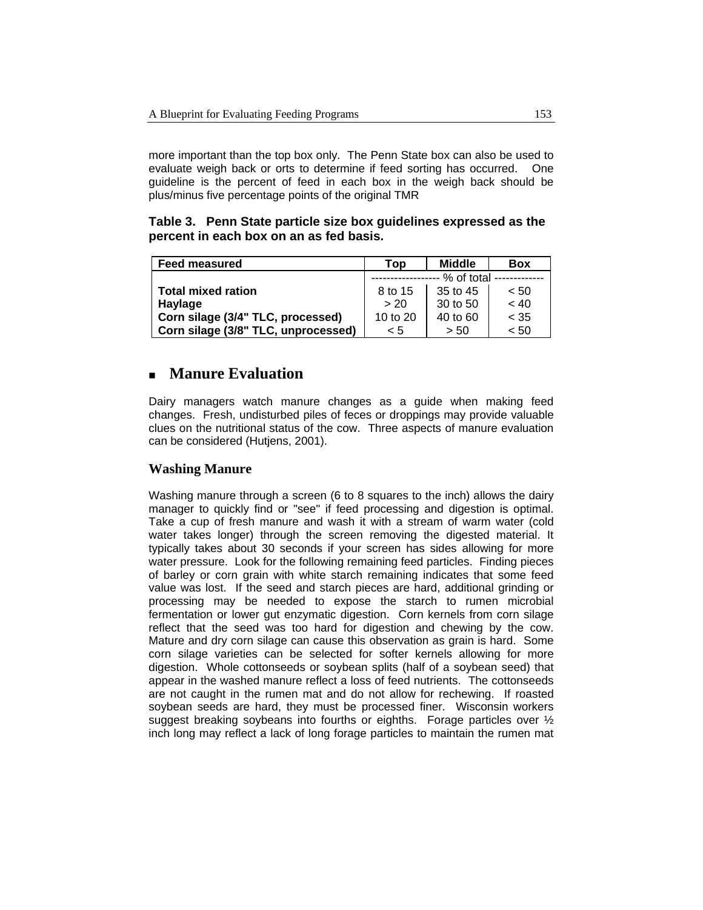more important than the top box only. The Penn State box can also be used to evaluate weigh back or orts to determine if feed sorting has occurred. One guideline is the percent of feed in each box in the weigh back should be plus/minus five percentage points of the original TMR

**Table 3. Penn State particle size box guidelines expressed as the percent in each box on an as fed basis.** 

| <b>Feed measured</b>                | Top        | <b>Middle</b> | <b>Box</b> |
|-------------------------------------|------------|---------------|------------|
|                                     | % of total |               |            |
| <b>Total mixed ration</b>           | 8 to 15    | 35 to 45      | < 50       |
| Haylage                             | > 20       | 30 to 50      | ~< 40      |
| Corn silage (3/4" TLC, processed)   | 10 to 20   | 40 to 60      | $<$ 35     |
| Corn silage (3/8" TLC, unprocessed) | < 5        | > 50          | < 50       |

# **Manure Evaluation**

Dairy managers watch manure changes as a guide when making feed changes. Fresh, undisturbed piles of feces or droppings may provide valuable clues on the nutritional status of the cow. Three aspects of manure evaluation can be considered (Hutjens, 2001).

### **Washing Manure**

Washing manure through a screen (6 to 8 squares to the inch) allows the dairy manager to quickly find or "see" if feed processing and digestion is optimal. Take a cup of fresh manure and wash it with a stream of warm water (cold water takes longer) through the screen removing the digested material. It typically takes about 30 seconds if your screen has sides allowing for more water pressure. Look for the following remaining feed particles. Finding pieces of barley or corn grain with white starch remaining indicates that some feed value was lost. If the seed and starch pieces are hard, additional grinding or processing may be needed to expose the starch to rumen microbial fermentation or lower gut enzymatic digestion. Corn kernels from corn silage reflect that the seed was too hard for digestion and chewing by the cow. Mature and dry corn silage can cause this observation as grain is hard. Some corn silage varieties can be selected for softer kernels allowing for more digestion. Whole cottonseeds or soybean splits (half of a soybean seed) that appear in the washed manure reflect a loss of feed nutrients. The cottonseeds are not caught in the rumen mat and do not allow for rechewing. If roasted soybean seeds are hard, they must be processed finer. Wisconsin workers suggest breaking soybeans into fourths or eighths. Forage particles over ½ inch long may reflect a lack of long forage particles to maintain the rumen mat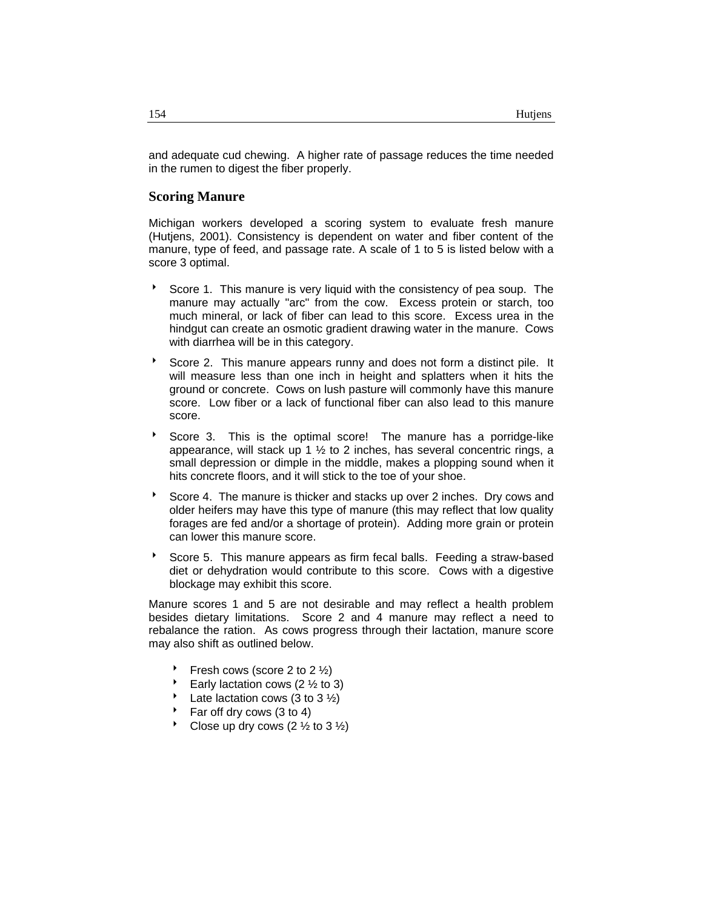and adequate cud chewing. A higher rate of passage reduces the time needed in the rumen to digest the fiber properly.

#### **Scoring Manure**

Michigan workers developed a scoring system to evaluate fresh manure (Hutjens, 2001). Consistency is dependent on water and fiber content of the manure, type of feed, and passage rate. A scale of 1 to 5 is listed below with a score 3 optimal.

- Score 1. This manure is very liquid with the consistency of pea soup. The manure may actually "arc" from the cow. Excess protein or starch, too much mineral, or lack of fiber can lead to this score. Excess urea in the hindgut can create an osmotic gradient drawing water in the manure. Cows with diarrhea will be in this category.
- Score 2. This manure appears runny and does not form a distinct pile. It will measure less than one inch in height and splatters when it hits the ground or concrete. Cows on lush pasture will commonly have this manure score. Low fiber or a lack of functional fiber can also lead to this manure score.
- Score 3. This is the optimal score! The manure has a porridge-like appearance, will stack up 1  $\frac{1}{2}$  to 2 inches, has several concentric rings, a small depression or dimple in the middle, makes a plopping sound when it hits concrete floors, and it will stick to the toe of your shoe.
- Score 4. The manure is thicker and stacks up over 2 inches. Dry cows and older heifers may have this type of manure (this may reflect that low quality forages are fed and/or a shortage of protein). Adding more grain or protein can lower this manure score.
- Score 5. This manure appears as firm fecal balls. Feeding a straw-based diet or dehydration would contribute to this score. Cows with a digestive blockage may exhibit this score.

Manure scores 1 and 5 are not desirable and may reflect a health problem besides dietary limitations. Score 2 and 4 manure may reflect a need to rebalance the ration. As cows progress through their lactation, manure score may also shift as outlined below.

- Fresh cows (score 2 to 2  $\frac{1}{2}$ )
- Early lactation cows (2  $\frac{1}{2}$  to 3)
- Late lactation cows (3 to 3  $\frac{1}{2}$ )
- Far off dry cows (3 to 4)
- Close up dry cows  $(2 \frac{1}{2} \times 6 \times 3 \frac{1}{2})$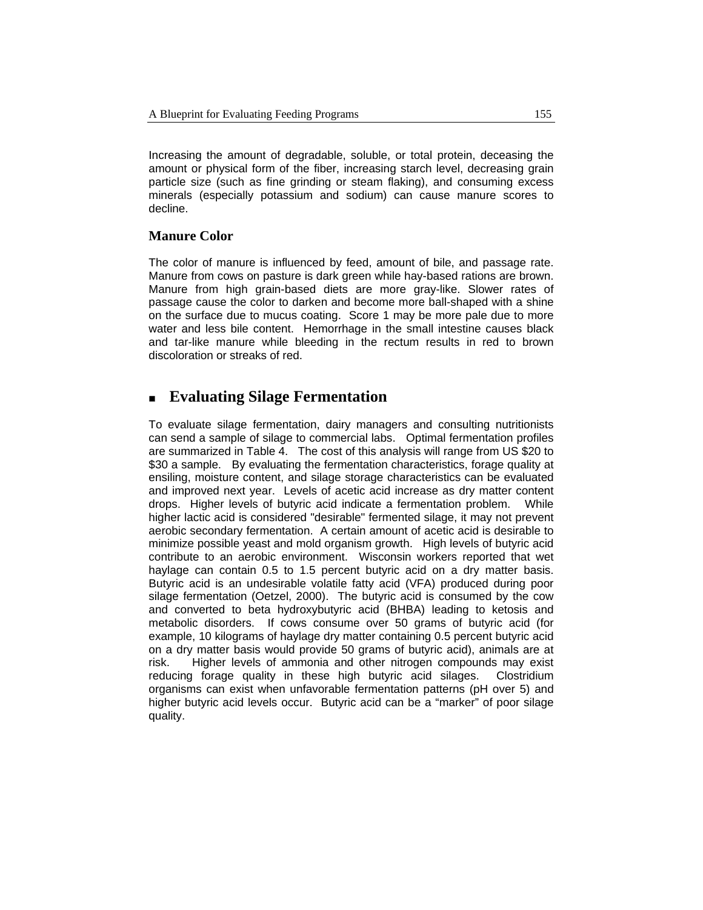Increasing the amount of degradable, soluble, or total protein, deceasing the amount or physical form of the fiber, increasing starch level, decreasing grain particle size (such as fine grinding or steam flaking), and consuming excess minerals (especially potassium and sodium) can cause manure scores to decline.

### **Manure Color**

The color of manure is influenced by feed, amount of bile, and passage rate. Manure from cows on pasture is dark green while hay-based rations are brown. Manure from high grain-based diets are more gray-like. Slower rates of passage cause the color to darken and become more ball-shaped with a shine on the surface due to mucus coating. Score 1 may be more pale due to more water and less bile content. Hemorrhage in the small intestine causes black and tar-like manure while bleeding in the rectum results in red to brown discoloration or streaks of red.

# **Evaluating Silage Fermentation**

To evaluate silage fermentation, dairy managers and consulting nutritionists can send a sample of silage to commercial labs. Optimal fermentation profiles are summarized in Table 4. The cost of this analysis will range from US \$20 to \$30 a sample. By evaluating the fermentation characteristics, forage quality at ensiling, moisture content, and silage storage characteristics can be evaluated and improved next year. Levels of acetic acid increase as dry matter content drops. Higher levels of butyric acid indicate a fermentation problem. While higher lactic acid is considered "desirable" fermented silage, it may not prevent aerobic secondary fermentation. A certain amount of acetic acid is desirable to minimize possible yeast and mold organism growth. High levels of butyric acid contribute to an aerobic environment. Wisconsin workers reported that wet haylage can contain 0.5 to 1.5 percent butyric acid on a dry matter basis. Butyric acid is an undesirable volatile fatty acid (VFA) produced during poor silage fermentation (Oetzel, 2000). The butyric acid is consumed by the cow and converted to beta hydroxybutyric acid (BHBA) leading to ketosis and metabolic disorders. If cows consume over 50 grams of butyric acid (for example, 10 kilograms of haylage dry matter containing 0.5 percent butyric acid on a dry matter basis would provide 50 grams of butyric acid), animals are at risk. Higher levels of ammonia and other nitrogen compounds may exist reducing forage quality in these high butyric acid silages. Clostridium organisms can exist when unfavorable fermentation patterns (pH over 5) and higher butyric acid levels occur. Butyric acid can be a "marker" of poor silage quality.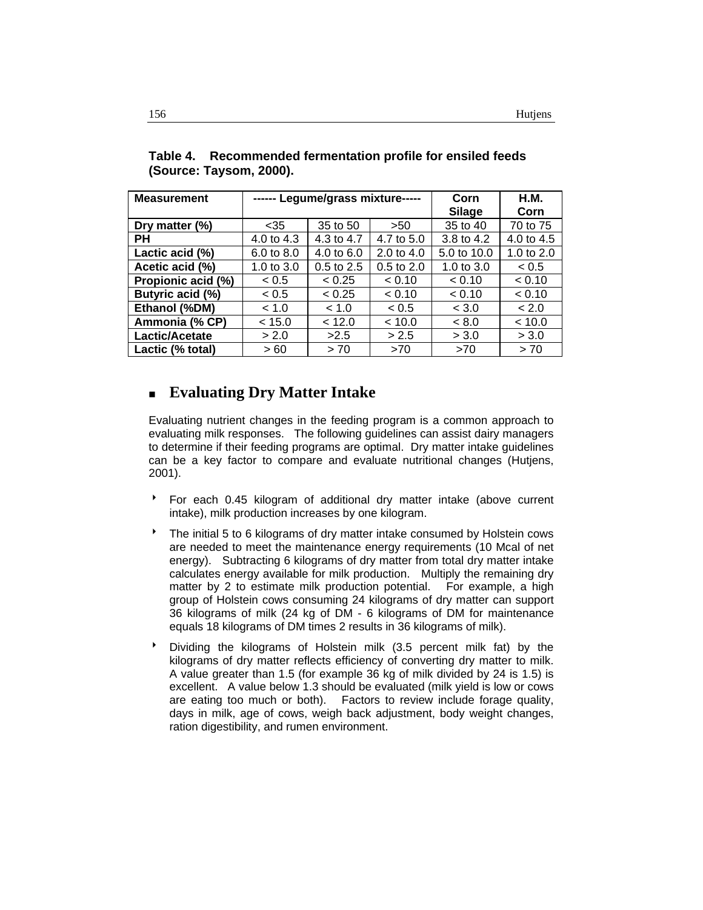| <b>Measurement</b> |              | ------ Legume/grass mixture----- | Corn           | <b>H.M.</b>  |              |
|--------------------|--------------|----------------------------------|----------------|--------------|--------------|
|                    |              |                                  | Silage         | Corn         |              |
| Dry matter $(\%)$  | $<$ 35       | 35 to 50                         | >50            | 35 to 40     | 70 to 75     |
| PН                 | 4.0 to 4.3   | 4.3 to 4.7                       | 4.7 to 5.0     | 3.8 to 4.2   | 4.0 to 4.5   |
| Lactic acid (%)    | 6.0 to 8.0   | 4.0 to 6.0                       | 2.0 to 4.0     | 5.0 to 10.0  | 1.0 to $2.0$ |
| Acetic acid (%)    | 1.0 to $3.0$ | $0.5$ to $2.5$                   | $0.5$ to $2.0$ | 1.0 to $3.0$ | < 0.5        |
| Propionic acid (%) | < 0.5        | < 0.25                           | < 0.10         | < 0.10       | < 0.10       |
| Butyric acid (%)   | < 0.5        | < 0.25                           | < 0.10         | < 0.10       | < 0.10       |
| Ethanol (%DM)      | < 1.0        | < 1.0                            | < 0.5          | < 3.0        | < 2.0        |
| Ammonia (% CP)     | < 15.0       | < 12.0                           | < 10.0         | < 8.0        | < 10.0       |
| Lactic/Acetate     | > 2.0        | >2.5                             | > 2.5          | > 3.0        | > 3.0        |
| Lactic (% total)   | >60          | > 70                             | >70            | >70          | > 70         |

**Table 4. Recommended fermentation profile for ensiled feeds (Source: Taysom, 2000).** 

# **Evaluating Dry Matter Intake**

Evaluating nutrient changes in the feeding program is a common approach to evaluating milk responses. The following guidelines can assist dairy managers to determine if their feeding programs are optimal. Dry matter intake guidelines can be a key factor to compare and evaluate nutritional changes (Hutjens, 2001).

- \* For each 0.45 kilogram of additional dry matter intake (above current intake), milk production increases by one kilogram.
- <sup>t</sup> The initial 5 to 6 kilograms of dry matter intake consumed by Holstein cows are needed to meet the maintenance energy requirements (10 Mcal of net energy). Subtracting 6 kilograms of dry matter from total dry matter intake calculates energy available for milk production. Multiply the remaining dry matter by 2 to estimate milk production potential. For example, a high group of Holstein cows consuming 24 kilograms of dry matter can support 36 kilograms of milk (24 kg of DM - 6 kilograms of DM for maintenance equals 18 kilograms of DM times 2 results in 36 kilograms of milk).
- $\bullet$  Dividing the kilograms of Holstein milk (3.5 percent milk fat) by the kilograms of dry matter reflects efficiency of converting dry matter to milk. A value greater than 1.5 (for example 36 kg of milk divided by 24 is 1.5) is excellent. A value below 1.3 should be evaluated (milk yield is low or cows are eating too much or both). Factors to review include forage quality, days in milk, age of cows, weigh back adjustment, body weight changes, ration digestibility, and rumen environment.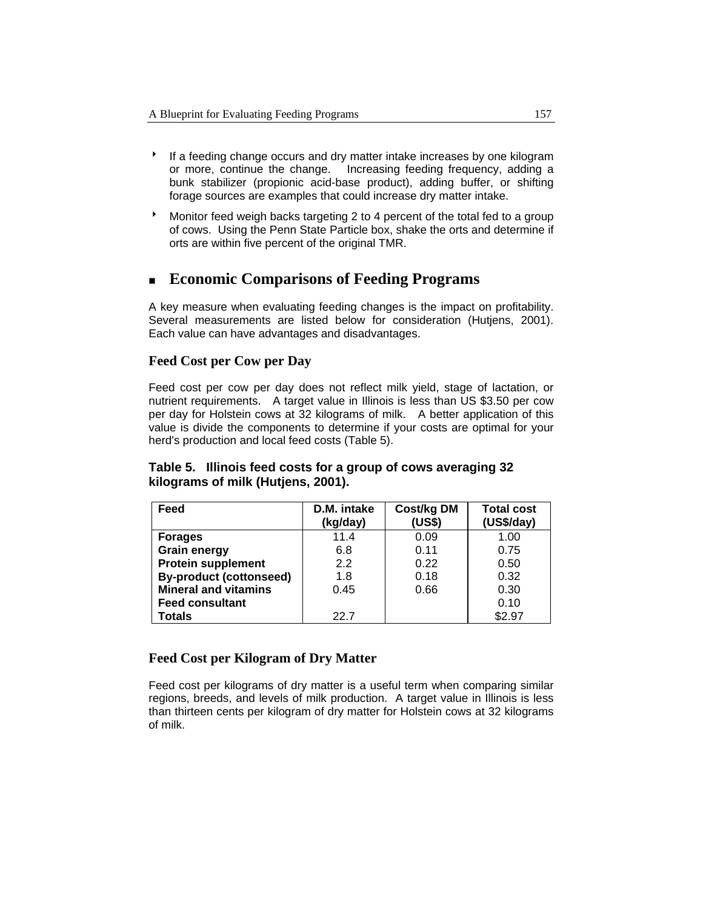- <sup>8</sup> If a feeding change occurs and dry matter intake increases by one kilogram or more, continue the change. Increasing feeding frequency, adding a bunk stabilizer (propionic acid-base product), adding buffer, or shifting forage sources are examples that could increase dry matter intake.
- $\bullet$  Monitor feed weigh backs targeting 2 to 4 percent of the total fed to a group of cows. Using the Penn State Particle box, shake the orts and determine if orts are within five percent of the original TMR.

# **Economic Comparisons of Feeding Programs**

A key measure when evaluating feeding changes is the impact on profitability. Several measurements are listed below for consideration (Hutjens, 2001). Each value can have advantages and disadvantages.

### **Feed Cost per Cow per Day**

Feed cost per cow per day does not reflect milk yield, stage of lactation, or nutrient requirements. A target value in Illinois is less than US \$3.50 per cow per day for Holstein cows at 32 kilograms of milk. A better application of this value is divide the components to determine if your costs are optimal for your herd's production and local feed costs (Table 5).

| Feed                           | D.M. intake<br>(kg/day) | Cost/kg DM<br>(US\$) | <b>Total cost</b><br>(US\$/day) |
|--------------------------------|-------------------------|----------------------|---------------------------------|
| <b>Forages</b>                 | 11.4                    | 0.09                 | 1.00                            |
| <b>Grain energy</b>            | 6.8                     | 0.11                 | 0.75                            |
| <b>Protein supplement</b>      | 2.2                     | 0.22                 | 0.50                            |
| <b>By-product (cottonseed)</b> | 1.8                     | 0.18                 | 0.32                            |
| <b>Mineral and vitamins</b>    | 0.45                    | 0.66                 | 0.30                            |
| <b>Feed consultant</b>         |                         |                      | 0.10                            |
| Totals                         | 22 7                    |                      | \$2.97                          |

### **Table 5. Illinois feed costs for a group of cows averaging 32 kilograms of milk (Hutjens, 2001).**

### **Feed Cost per Kilogram of Dry Matter**

Feed cost per kilograms of dry matter is a useful term when comparing similar regions, breeds, and levels of milk production. A target value in Illinois is less than thirteen cents per kilogram of dry matter for Holstein cows at 32 kilograms of milk.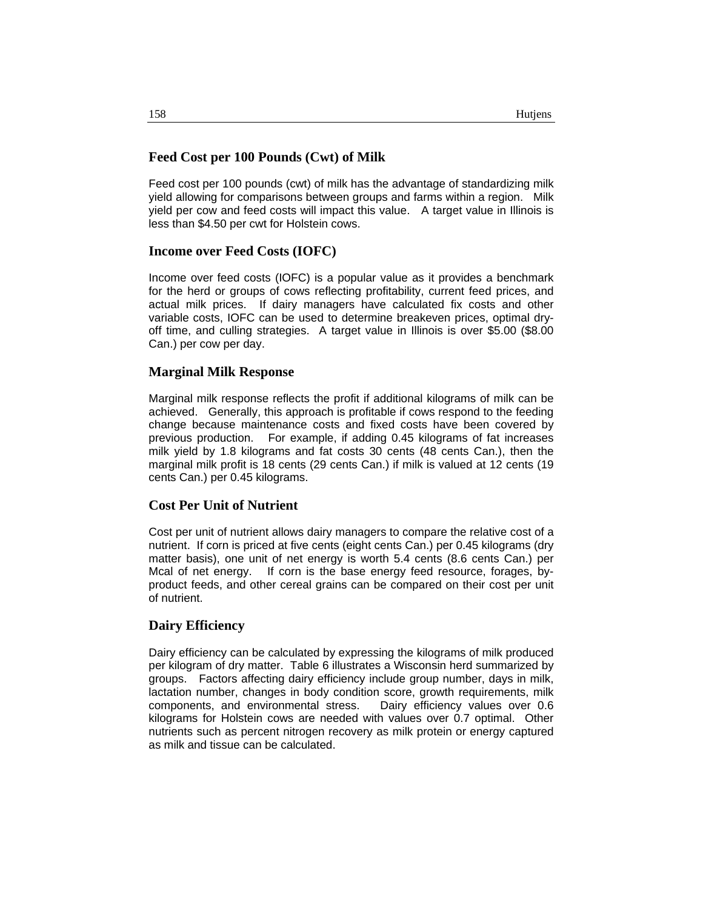### **Feed Cost per 100 Pounds (Cwt) of Milk**

Feed cost per 100 pounds (cwt) of milk has the advantage of standardizing milk yield allowing for comparisons between groups and farms within a region. Milk yield per cow and feed costs will impact this value. A target value in Illinois is less than \$4.50 per cwt for Holstein cows.

#### **Income over Feed Costs (IOFC)**

Income over feed costs (IOFC) is a popular value as it provides a benchmark for the herd or groups of cows reflecting profitability, current feed prices, and actual milk prices. If dairy managers have calculated fix costs and other variable costs, IOFC can be used to determine breakeven prices, optimal dryoff time, and culling strategies. A target value in Illinois is over \$5.00 (\$8.00 Can.) per cow per day.

#### **Marginal Milk Response**

Marginal milk response reflects the profit if additional kilograms of milk can be achieved. Generally, this approach is profitable if cows respond to the feeding change because maintenance costs and fixed costs have been covered by previous production. For example, if adding 0.45 kilograms of fat increases milk yield by 1.8 kilograms and fat costs 30 cents (48 cents Can.), then the marginal milk profit is 18 cents (29 cents Can.) if milk is valued at 12 cents (19 cents Can.) per 0.45 kilograms.

#### **Cost Per Unit of Nutrient**

Cost per unit of nutrient allows dairy managers to compare the relative cost of a nutrient. If corn is priced at five cents (eight cents Can.) per 0.45 kilograms (dry matter basis), one unit of net energy is worth 5.4 cents (8.6 cents Can.) per Mcal of net energy. If corn is the base energy feed resource, forages, byproduct feeds, and other cereal grains can be compared on their cost per unit of nutrient.

#### **Dairy Efficiency**

Dairy efficiency can be calculated by expressing the kilograms of milk produced per kilogram of dry matter. Table 6 illustrates a Wisconsin herd summarized by groups. Factors affecting dairy efficiency include group number, days in milk, lactation number, changes in body condition score, growth requirements, milk components, and environmental stress. Dairy efficiency values over 0.6 kilograms for Holstein cows are needed with values over 0.7 optimal. Other nutrients such as percent nitrogen recovery as milk protein or energy captured as milk and tissue can be calculated.